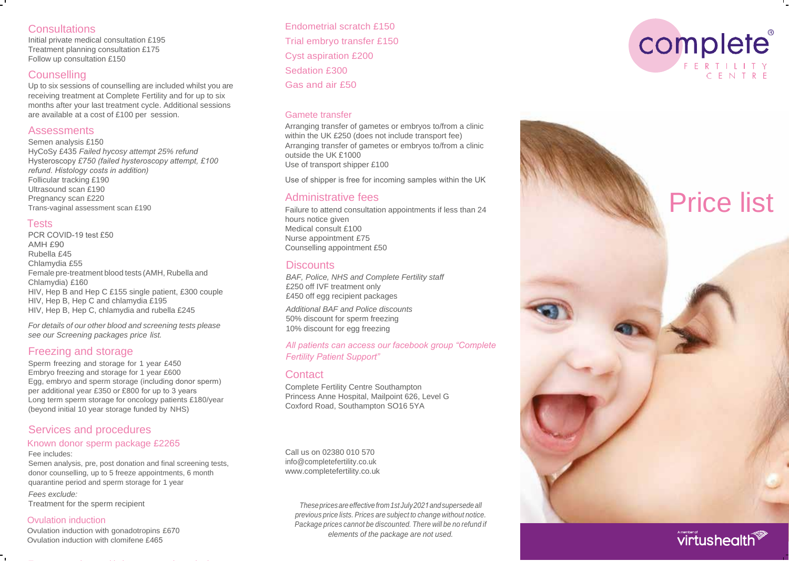## **Consultations**

Initial private medical consultation £195 Treatment planning consultation £175 Follow up consultation £150

# **Counselling**

Up to six sessions of counselling are included whilst you are receiving treatment at Complete Fertility and for up to six months after your last treatment cycle. Additional sessions are available at a cost of £100 per session.

### **Assessments**

Semen analysis £150 HyCoSy £435 *Failed hycosy attempt 25% refund* Hysteroscopy *£750 (failed hysteroscopy attempt, £100 refund. Histology costs in addition)* Follicular tracking £190 Ultrasound scan £190 Pregnancy scan £220 Trans-vaginal assessment scan £190

## Tests

PCR COVID-19 test £50 AMH £90 Rubella £45 Chlamydia £55 Female pre-treatment blood tests (AMH, Rubella and Chlamydia) £1 6 0 HIV, Hep B and Hep C £155 single patient, £300 couple HIV, Hep B, Hep C and chlamydia £195 HIV, Hep B, Hep C, chlamydia and rubella £245

*For details of our other blood and screening tests please see our Screening packages price list.*

## Freezing and storage

Sperm freezing and storage for 1 year £450 Embryo freezing and storage for 1 year £600 Egg, embryo and sperm storage (including donor sperm) per additional year £350 or £800 for up to 3 years Long term sperm storage for oncology patients £180/year (beyond initial 10 year storage funded by NHS)

# Services and procedures

#### Known donor sperm package £2265 Fee includes:

Semen analysis, pre, post donation and final screening tests, donor counselling, up to 5 freeze appointments, 6 month quarantine period and sperm storage for 1 year

*Fees exclude:* Treatment for the sperm recipient

### Ovulation induction

Ovulation induction with gonadotropins £670 Ovulation induction with clomifene £465

Endometrial scratch £150 Trial embryo transfer £150 Cyst aspiration £200 Sedation £300 Gas and air £50

## Gamete transfer

Arranging transfer of gametes or embryos to/from a clinic within the UK £ 250 (does not include transport fee) Arranging transfer of gametes or embryos to/from a clinic outside the UK £1000 Use of transport shipper £100

Use of shipper is free for incoming samples within the UK

# Administrative fees

Failure to attend consultation appointments if less than 24 hours notice given Medical consult £100 Nurse appointment £75 Counselling appointment £50

### **Discounts**

*BAF, Police, NHS and Complete Fertility staff* £250 off IVF treatment only £450 off egg recipient packages

*Additional BAF and Police discounts*  50% discount for sperm freezing 10% discount for egg freezing

### *All patients can access our facebook group "Complete Fertility Patient Support"*

## **Contact**

Complete Fertility Centre Southampton Princess Anne Hospital, Mailpoint 626, Level G Coxford Road, Southampton SO16 5YA

Call us on 02380 010 570 [info@completefertility.co.uk](mailto:info@completefertility.co.uk) [www.completefertility.co.uk](http://www.completefertility.co.uk/)

> *These prices are effective from 1st July 202 1and supersede all previous price lists. Prices are subject to change without notice. Package prices cannot be discounted. There will be no refund if elements of the package are not used.*